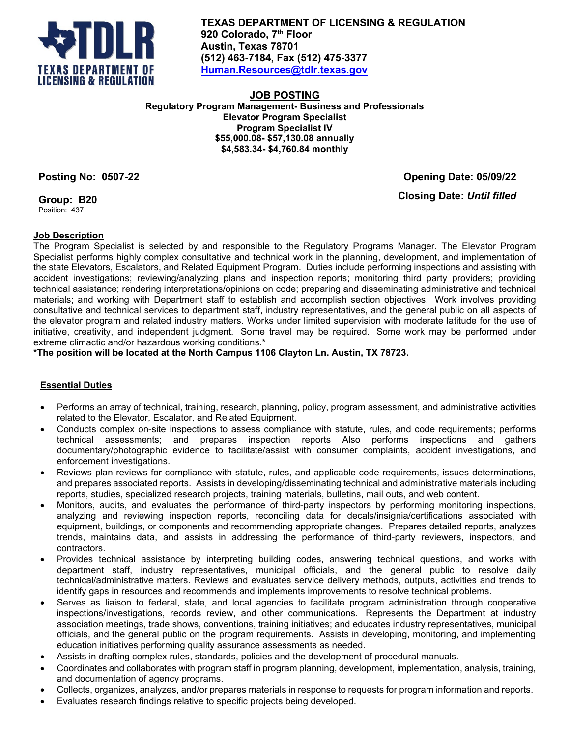

**TEXAS DEPARTMENT OF LICENSING & REGULATION 920 Colorado, 7th Floor Austin, Texas 78701 (512) 463-7184, Fax (512) 475-3377 [Human.Resources@tdlr.texas.gov](mailto:Human.Resources@tdlr.texas.gov)**

**JOB POSTING Regulatory Program Management- Business and Professionals Elevator Program Specialist Program Specialist IV \$55,000.08- \$57,130.08 annually \$4,583.34- \$4,760.84 monthly**

**Posting No: 0507-22 Opening Date: 05/09/22 Closing Date:** *Until filled*

**Group: B20**  Position: 437

# **Job Description**

The Program Specialist is selected by and responsible to the Regulatory Programs Manager. The Elevator Program Specialist performs highly complex consultative and technical work in the planning, development, and implementation of the state Elevators, Escalators, and Related Equipment Program. Duties include performing inspections and assisting with accident investigations; reviewing/analyzing plans and inspection reports; monitoring third party providers; providing technical assistance; rendering interpretations/opinions on code; preparing and disseminating administrative and technical materials; and working with Department staff to establish and accomplish section objectives. Work involves providing consultative and technical services to department staff, industry representatives, and the general public on all aspects of the elevator program and related industry matters. Works under limited supervision with moderate latitude for the use of initiative, creativity, and independent judgment. Some travel may be required. Some work may be performed under extreme climactic and/or hazardous working conditions.\*

**\*The position will be located at the North Campus 1106 Clayton Ln. Austin, TX 78723.**

# **Essential Duties**

- Performs an array of technical, training, research, planning, policy, program assessment, and administrative activities related to the Elevator, Escalator, and Related Equipment.
- Conducts complex on-site inspections to assess compliance with statute, rules, and code requirements; performs technical assessments; and prepares inspection reports Also performs inspections and gathers documentary/photographic evidence to facilitate/assist with consumer complaints, accident investigations, and enforcement investigations.
- Reviews plan reviews for compliance with statute, rules, and applicable code requirements, issues determinations, and prepares associated reports. Assists in developing/disseminating technical and administrative materials including reports, studies, specialized research projects, training materials, bulletins, mail outs, and web content.
- Monitors, audits, and evaluates the performance of third-party inspectors by performing monitoring inspections, analyzing and reviewing inspection reports, reconciling data for decals/insignia/certifications associated with equipment, buildings, or components and recommending appropriate changes. Prepares detailed reports, analyzes trends, maintains data, and assists in addressing the performance of third-party reviewers, inspectors, and contractors.
- Provides technical assistance by interpreting building codes, answering technical questions, and works with department staff, industry representatives, municipal officials, and the general public to resolve daily technical/administrative matters. Reviews and evaluates service delivery methods, outputs, activities and trends to identify gaps in resources and recommends and implements improvements to resolve technical problems.
- Serves as liaison to federal, state, and local agencies to facilitate program administration through cooperative inspections/investigations, records review, and other communications. Represents the Department at industry association meetings, trade shows, conventions, training initiatives; and educates industry representatives, municipal officials, and the general public on the program requirements. Assists in developing, monitoring, and implementing education initiatives performing quality assurance assessments as needed.
- Assists in drafting complex rules, standards, policies and the development of procedural manuals.
- Coordinates and collaborates with program staff in program planning, development, implementation, analysis, training, and documentation of agency programs.
- Collects, organizes, analyzes, and/or prepares materials in response to requests for program information and reports.
- Evaluates research findings relative to specific projects being developed.